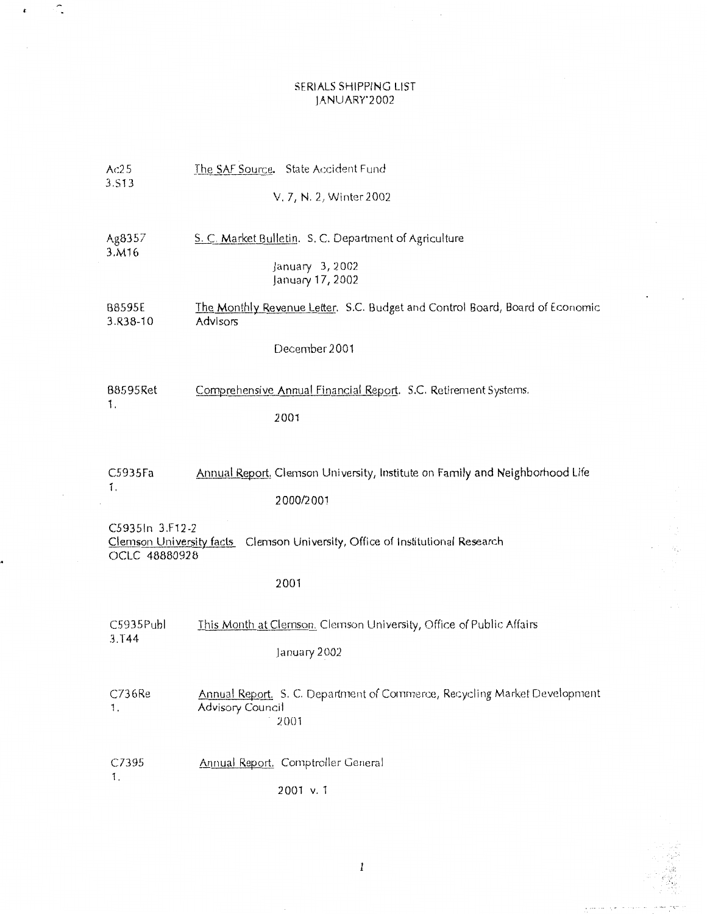## SERIALS SHIPPING LIST JANUARY'2002

Î.

 $\pmb{\epsilon}$ 

| Ac25                                                                                                               | The SAF Source. State Accident Fund                                                                  |  |
|--------------------------------------------------------------------------------------------------------------------|------------------------------------------------------------------------------------------------------|--|
| 3.S13                                                                                                              | V. 7, N. 2, Winter 2002                                                                              |  |
| Ag8357<br>3.M16                                                                                                    | S. C. Market Bulletin. S. C. Department of Agriculture                                               |  |
|                                                                                                                    | January 3, 2002<br>January 17, 2002                                                                  |  |
| B8595E<br>3.R38-10                                                                                                 | The Monthly Revenue Letter. S.C. Budget and Control Board, Board of Economic<br>Advisors             |  |
|                                                                                                                    | December 2001                                                                                        |  |
| B8595Ret<br>1.                                                                                                     | Comprehensive Annual Financial Report. S.C. Retirement Systems.                                      |  |
|                                                                                                                    | 2001                                                                                                 |  |
| C5935Fa                                                                                                            | Annual Report. Clemson University, Institute on Family and Neighborhood Life                         |  |
| 1.                                                                                                                 | 2000/2001                                                                                            |  |
| C5935In 3.F12-2<br>Clemson University facts  Clemson University, Office of Institutional Research<br>OCLC 48880928 |                                                                                                      |  |
|                                                                                                                    | 2001                                                                                                 |  |
| C5935Publ<br>3.144                                                                                                 | This Month at Clemson. Clemson University, Office of Public Affairs                                  |  |
|                                                                                                                    | January 2002                                                                                         |  |
| C736Re<br>1.                                                                                                       | Annual Report. S. C. Department of Commerce, Recycling Market Development<br><b>Advisory Council</b> |  |
|                                                                                                                    | 2001                                                                                                 |  |
| C7395<br>1.                                                                                                        | Annual Report. Comptroller General                                                                   |  |
|                                                                                                                    | 2001 v.1                                                                                             |  |

 $\tilde{\gamma}_{\tilde{\chi}^{\prime}_{\chi}}$ 

 $\sim$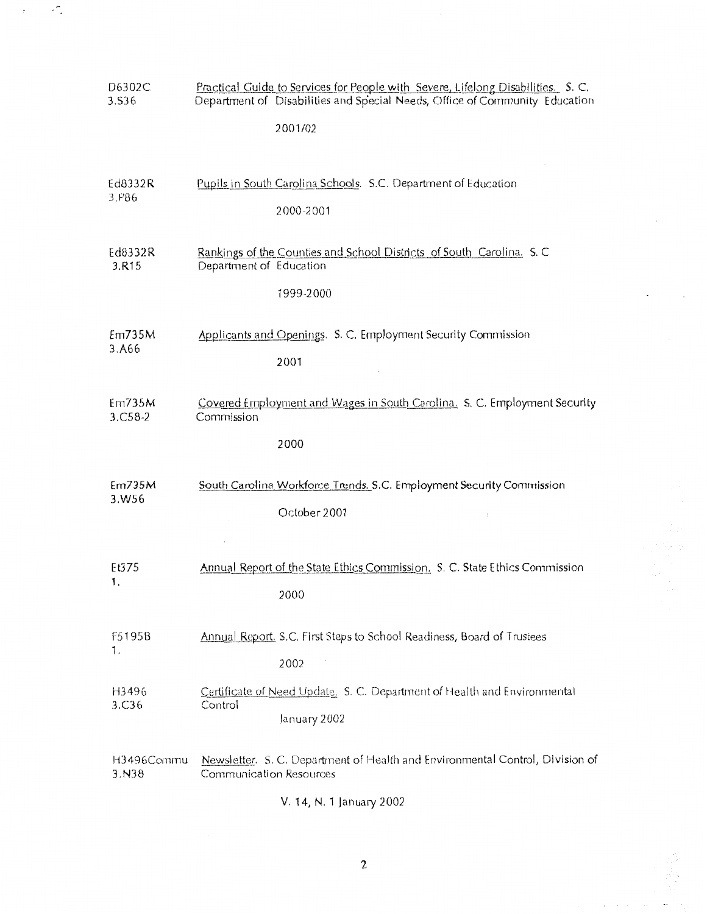| D6302C                       | Practical Guide to Services for People with Severe, Lifelong Disabilities. S. C.                                  |
|------------------------------|-------------------------------------------------------------------------------------------------------------------|
| 3.S36                        | Department of Disabilities and Special Needs, Office of Community Education                                       |
|                              | 2001/02                                                                                                           |
| Ed8332R                      | Pupils in South Carolina Schools. S.C. Department of Education                                                    |
| 3.P86                        | 2000-2001                                                                                                         |
| Ed8332R<br>3.R <sub>15</sub> | Rankings of the Counties and School Districts of South Carolina. S. C.<br>Department of Education<br>1999-2000    |
| Em735M                       | Applicants and Openings. S. C. Employment Security Commission                                                     |
| 3.A66                        | 2001                                                                                                              |
| Em735M<br>$3. C58 - 2$       | Covered Employment and Wages in South Carolina. S. C. Employment Security<br>Commission<br>2000                   |
| Em735M                       | South Carolina Workforce Trends. S.C. Employment Security Commission                                              |
| 3.W56                        | October 2001                                                                                                      |
| Et375                        | Annual Report of the State Ethics Commission. S. C. State Ethics Commission                                       |
| 1.                           | 2000                                                                                                              |
| F5195B                       | Annual Report, S.C. First Steps to School Readiness, Board of Trustees                                            |
| 1.                           | 2002                                                                                                              |
| H3496<br>3.C36               | Certificate of Need Update. S. C. Department of Health and Environmental<br>Control<br>January 2002               |
| H3496Commu<br>3. N38         | Newsletter. S. C. Department of Health and Environmental Control, Division of<br>Communication Resources<br>0.000 |

 $\ddot{\phantom{0}}$ 

t Margo

 $\varphi$  , and  $\varphi$  is a set of  $\varphi$ 

 $\mathcal{L}$ 

 $\frac{1}{\sqrt{2}}$ 

V. 14, N. 1 January 2002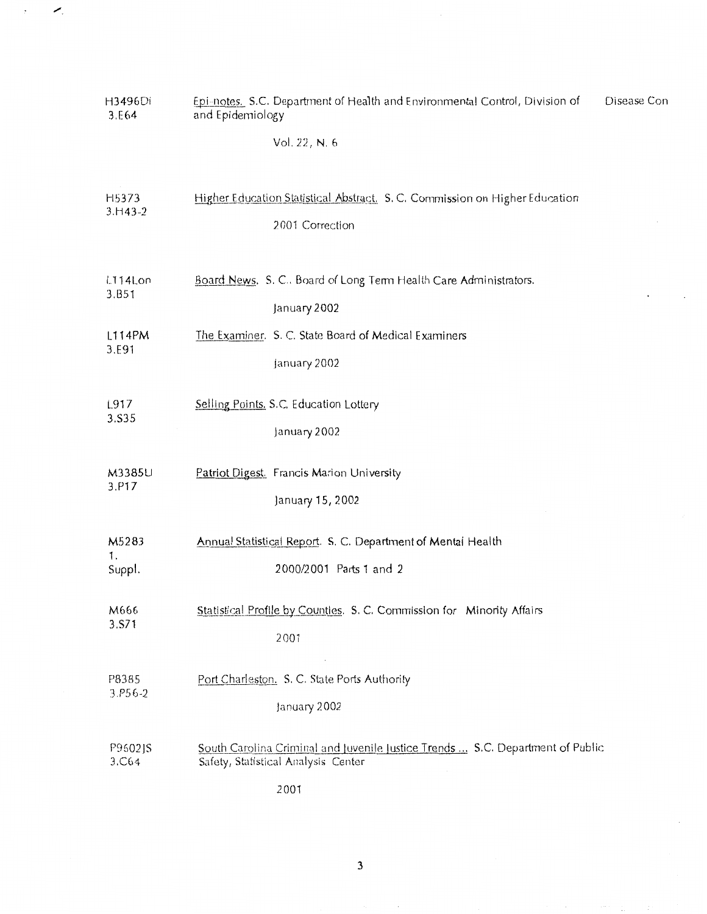| H3496Di<br>3.E64      | Disease Con<br>Epi-notes. S.C. Department of Health and Environmental Control, Division of<br>and Epidemiology                |
|-----------------------|-------------------------------------------------------------------------------------------------------------------------------|
|                       | Vol. 22, N. 6                                                                                                                 |
| H5373                 | Higher Education Statistical Abstract. S. C. Commission on Higher Education                                                   |
| $3. H43 - 2$          | 2001 Correction                                                                                                               |
| L114Lon               | Board News. S. C Board of Long Tem Health Care Administrators.                                                                |
| 3.B51                 | January 2002                                                                                                                  |
| L114PM                | The Examiner. S. C. State Board of Medical Examiners                                                                          |
| 3.E91                 | January 2002                                                                                                                  |
| L917                  | Selling Points, S.C. Education Lottery                                                                                        |
| 3.535                 | January 2002                                                                                                                  |
| M3385U                | Patriot Digest. Francis Marion University                                                                                     |
| 3.P17                 | January 15, 2002                                                                                                              |
| M5283<br>1.<br>Suppl. | Annual Statistical Report. S. C. Department of Mental Health<br>2000/2001 Parts 1 and 2                                       |
| M666                  | Statistical Profile by Counties. S. C. Commission for Minority Affairs                                                        |
| 3.S71                 | 2001                                                                                                                          |
| P8385                 | Port Charleston. S. C. State Ports Authority                                                                                  |
| 3.P56-2               | January 2002                                                                                                                  |
| P9602JS<br>3.C64      | South Carolina Criminal and Juvenile Justice Trends  S.C. Department of Public<br>Safety, Statistical Analysis Center<br>2001 |

 $\overline{\mathbf{3}}$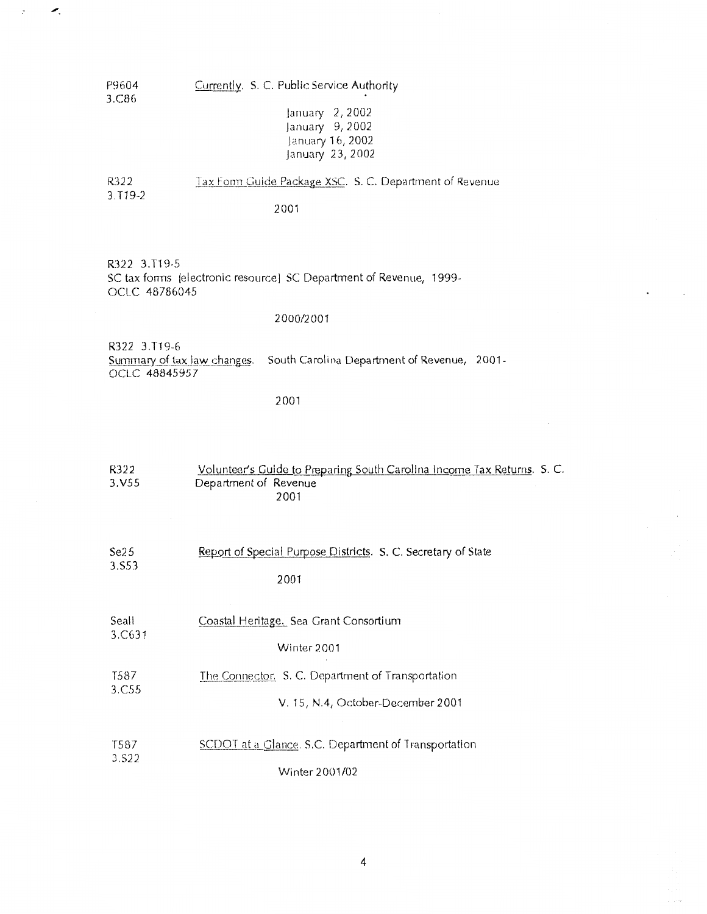P9604 3.C86 Currently. S. C. Public Service Authority

×.

January 2,2002 January 9, 2002 january 16, 2002 january 23, 2002

Tax Form Guide Package XSC. S. C. Department of Revenue R322 3.T19-2

2001

R322 3.T19-5 SC tax forms [electronic resource] SC Department of Revenue, 1999- 0CLC 48786045

#### 2000/2001

R322 3.T19-6<br>Summary of tax law changes. South Carolina Department of Revenue, 2001-0CLC 48845957

2001

| R322<br>3.V55 | Volunteer's Guide to Preparing South Carolina Income Tax Returns. S. C.<br>Department of Revenue<br>2001 |
|---------------|----------------------------------------------------------------------------------------------------------|
| Se25          | Report of Special Purpose Districts. S. C. Secretary of State                                            |
| 3.S53         | 2001                                                                                                     |
| Seall         | Coastal Heritage. Sea Grant Consortium                                                                   |
| 3.C631        | Winter 2001                                                                                              |
| T587          | The Connector. S. C. Department of Transportation                                                        |
| 3.C55         | V. 15, N.4, October-December 2001                                                                        |
| T587          | SCDOT at a Glance. S.C. Department of Transportation                                                     |
| 3.S22         | Winter 2001/02                                                                                           |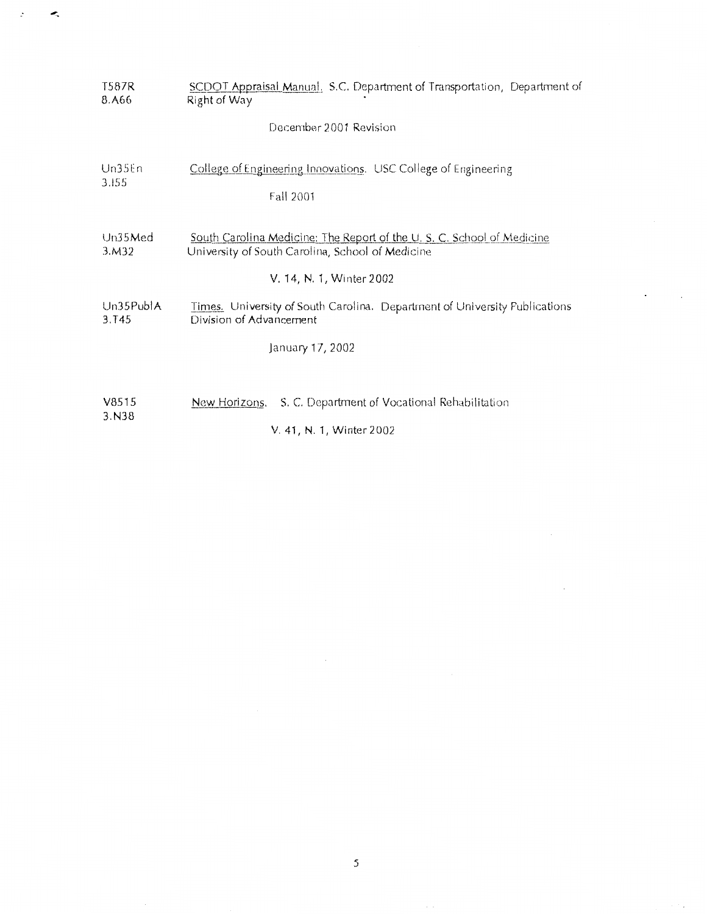| T587R<br>8.A66     | SCDOT Appraisal Manual, S.C. Department of Transportation, Department of<br>Right of Way                                                              |
|--------------------|-------------------------------------------------------------------------------------------------------------------------------------------------------|
|                    | December 2001 Revision                                                                                                                                |
| Un35En<br>3.155    | College of Engineering Innovations. USC College of Engineering<br>Fall 2001                                                                           |
| Un35Med<br>3.M32   | South Carolina Medicine: The Report of the U.S. C. School of Medicine<br>University of South Carolina, School of Medicine<br>V. 14, N. 1, Winter 2002 |
| Un35PublA<br>3.T45 | Times. University of South Carolina. Department of University Publications<br>Division of Advancement<br>January 17, 2002                             |
| V8515              | S. C. Department of Vocational Rehabilitation<br>New Horizons.                                                                                        |
| 3. N38             | V. 41, N. 1, Winter 2002                                                                                                                              |

 $\overline{5}$ 

 $\bar{\phantom{a}}$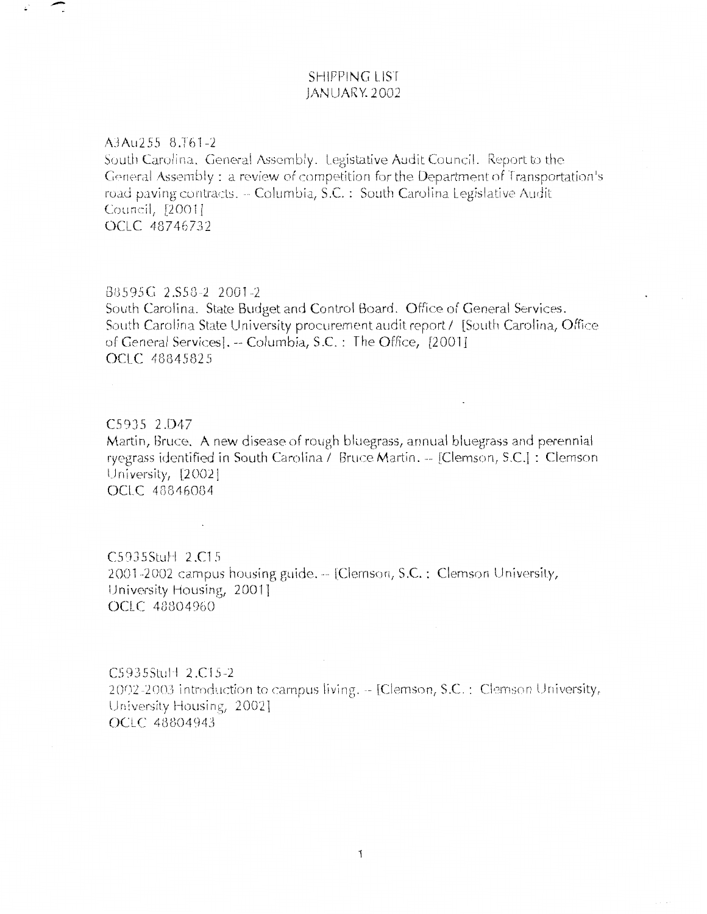## **SHIPPING LIST** JANUARY 2002

#### A3Au255 8.T61-2

South Carolina. General Assembly. Legistative Audit Council. Report to the General Assembly : a review of competition for the Department of Transportation's road paving contracts. -- Columbia, S.C. : South Carolina Legislative Audit Council, [2001] OCLC 48746732

#### B8595G 2.S58-2 2001-2

 $\sim$ 

South Carolina. State Budget and Control Board. Office of General Services. South Carolina State University procurement audit report / [South Carolina, Office of General Services]. -- Columbia, S.C. : The Office, [2001] OCLC 48845825

# C5935 2.D47 Martin, Bruce. A new disease of rough bluegrass, annual bluegrass and perennial ryegrass identified in South Carolina / Bruce Martin. -- [Clemson, S.C.] : Clemson University, [2002] OCLC 48846084

 $C5935$ Stul  $12.C15$ 2001-2002 campus housing guide. -- [Clemson, S.C. : Clemson University, University Housing, 2001] OCLC 48804960

C5935Stul+ 2.C15-2 2002-2003 introduction to campus living.  $-$  [Clemson, S.C. : Clemson University, University Housing, 2002] OCLC 48804943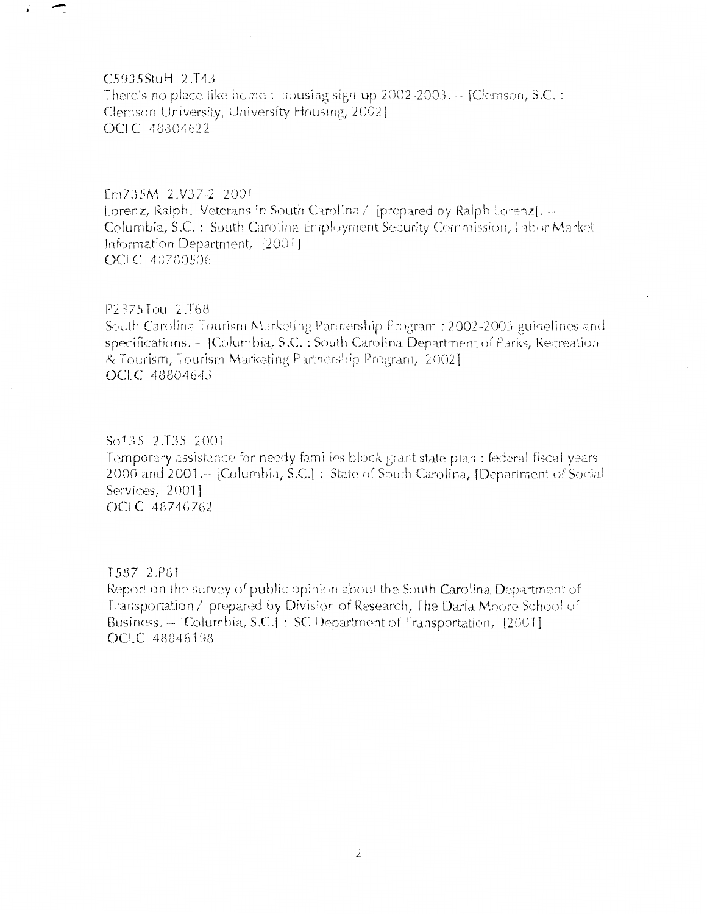C5935StuH 2.T43

There's no place like home: housing sign-up 2002-2003.  $-$  [Clemson, S.C. : Clemson University, University Housing, 2002] OCLC 48804622

### Em735M 2.V37-2 2001

Lorenz, Ralph. Veterans in South Carolina / [prepared by Ralph Lorenz].  $-$ Columbia, S.C.: South Carolina Employment Security Commission, Labor Market Information Department, [2001] OCLC 48780506

#### P2375Tou 2.T68

South Carolina Tourism Marketing Partnership Program : 2002-2003 guidelines and specifications. -- [Columbia, S.C. : South Carolina Department of Parks, Recreation & Tourism, Tourism Marketing Partnership Program, 2002]. OCLC 48804643

#### So135 2.T35 2001

Temporary assistance for needy families block grant state plan : federal fiscal years 2000 and 2001.-- [Columbia, S.C.] : State of South Carolina, [Department of Social Services, 2001] OCLC 48746762

### T587 2.P81

Report on the survey of public opinion about the South Carolina Department of Transportation / prepared by Division of Research, The Darla Moore School of Business. -- [Columbia, S.C.] : SC Department of Transportation, [2001] OCLC 48846198